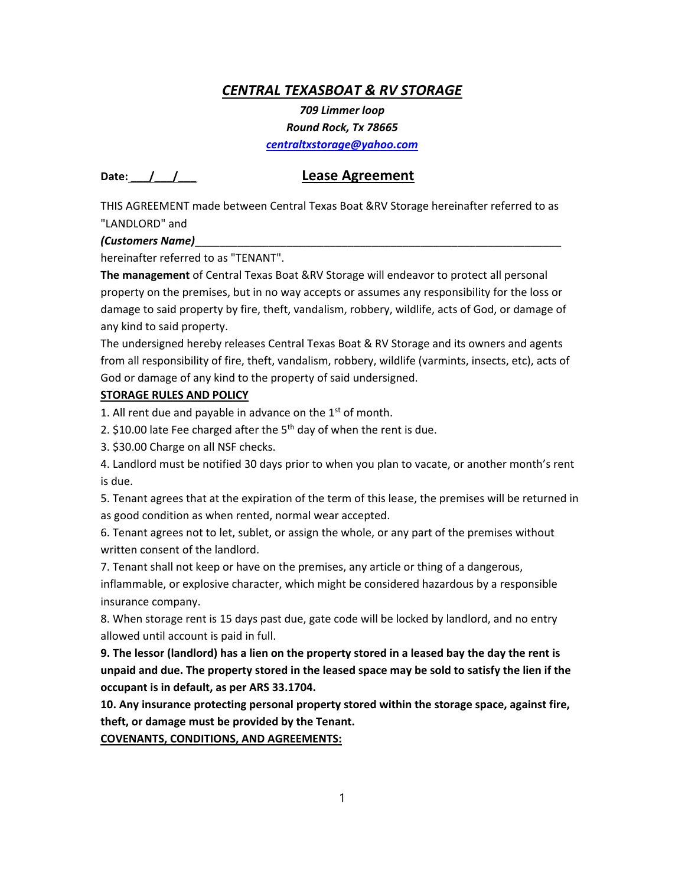## *CENTRAL TEXASBOAT & RV STORAGE*

*709 Limmer loop* 

*Round Rock, Tx 78665* 

*centraltxstorage@yahoo.com*

## **Date: \_\_\_/\_\_\_/\_\_\_ Lease Agreement**

THIS AGREEMENT made between Central Texas Boat &RV Storage hereinafter referred to as "LANDLORD" and

## *(Customers Name)*\_\_\_\_\_\_\_\_\_\_\_\_\_\_\_\_\_\_\_\_\_\_\_\_\_\_\_\_\_\_\_\_\_\_\_\_\_\_\_\_\_\_\_\_\_\_\_\_\_\_\_\_\_\_\_\_\_\_\_\_

hereinafter referred to as "TENANT".

**The management** of Central Texas Boat &RV Storage will endeavor to protect all personal property on the premises, but in no way accepts or assumes any responsibility for the loss or damage to said property by fire, theft, vandalism, robbery, wildlife, acts of God, or damage of any kind to said property.

The undersigned hereby releases Central Texas Boat & RV Storage and its owners and agents from all responsibility of fire, theft, vandalism, robbery, wildlife (varmints, insects, etc), acts of God or damage of any kind to the property of said undersigned.

## **STORAGE RULES AND POLICY**

1. All rent due and payable in advance on the  $1<sup>st</sup>$  of month.

2. \$10.00 late Fee charged after the  $5<sup>th</sup>$  day of when the rent is due.

3. \$30.00 Charge on all NSF checks.

4. Landlord must be notified 30 days prior to when you plan to vacate, or another month's rent is due.

5. Tenant agrees that at the expiration of the term of this lease, the premises will be returned in as good condition as when rented, normal wear accepted.

6. Tenant agrees not to let, sublet, or assign the whole, or any part of the premises without written consent of the landlord.

7. Tenant shall not keep or have on the premises, any article or thing of a dangerous,

inflammable, or explosive character, which might be considered hazardous by a responsible insurance company.

8. When storage rent is 15 days past due, gate code will be locked by landlord, and no entry allowed until account is paid in full.

**9. The lessor (landlord) has a lien on the property stored in a leased bay the day the rent is unpaid and due. The property stored in the leased space may be sold to satisfy the lien if the occupant is in default, as per ARS 33.1704.**

**10. Any insurance protecting personal property stored within the storage space, against fire, theft, or damage must be provided by the Tenant.**

**COVENANTS, CONDITIONS, AND AGREEMENTS:**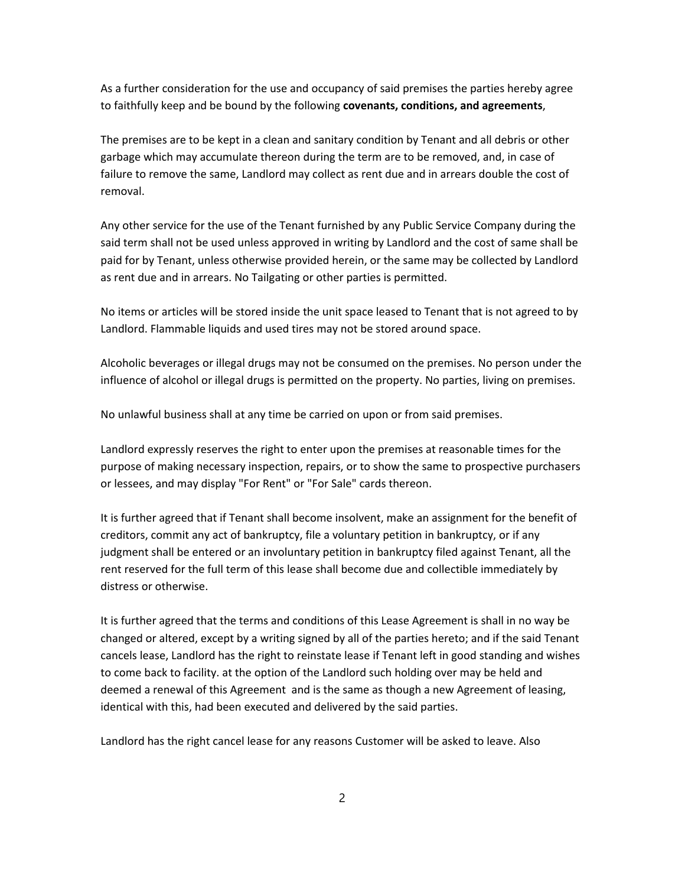As a further consideration for the use and occupancy of said premises the parties hereby agree to faithfully keep and be bound by the following **covenants, conditions, and agreements**,

The premises are to be kept in a clean and sanitary condition by Tenant and all debris or other garbage which may accumulate thereon during the term are to be removed, and, in case of failure to remove the same, Landlord may collect as rent due and in arrears double the cost of removal.

Any other service for the use of the Tenant furnished by any Public Service Company during the said term shall not be used unless approved in writing by Landlord and the cost of same shall be paid for by Tenant, unless otherwise provided herein, or the same may be collected by Landlord as rent due and in arrears. No Tailgating or other parties is permitted.

No items or articles will be stored inside the unit space leased to Tenant that is not agreed to by Landlord. Flammable liquids and used tires may not be stored around space.

Alcoholic beverages or illegal drugs may not be consumed on the premises. No person under the influence of alcohol or illegal drugs is permitted on the property. No parties, living on premises.

No unlawful business shall at any time be carried on upon or from said premises.

Landlord expressly reserves the right to enter upon the premises at reasonable times for the purpose of making necessary inspection, repairs, or to show the same to prospective purchasers or lessees, and may display "For Rent" or "For Sale" cards thereon.

It is further agreed that if Tenant shall become insolvent, make an assignment for the benefit of creditors, commit any act of bankruptcy, file a voluntary petition in bankruptcy, or if any judgment shall be entered or an involuntary petition in bankruptcy filed against Tenant, all the rent reserved for the full term of this lease shall become due and collectible immediately by distress or otherwise.

It is further agreed that the terms and conditions of this Lease Agreement is shall in no way be changed or altered, except by a writing signed by all of the parties hereto; and if the said Tenant cancels lease, Landlord has the right to reinstate lease if Tenant left in good standing and wishes to come back to facility. at the option of the Landlord such holding over may be held and deemed a renewal of this Agreement and is the same as though a new Agreement of leasing, identical with this, had been executed and delivered by the said parties.

Landlord has the right cancel lease for any reasons Customer will be asked to leave. Also